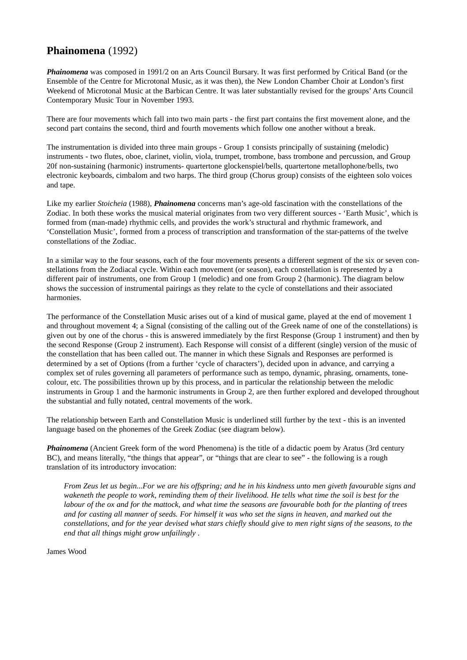## **Phainomena** (1992)

*Phainomena* was composed in 1991/2 on an Arts Council Bursary. It was first performed by Critical Band (or the Ensemble of the Centre for Microtonal Music, as it was then), the New London Chamber Choir at London's first Weekend of Microtonal Music at the Barbican Centre. It was later substantially revised for the groups' Arts Council Contemporary Music Tour in November 1993.

There are four movements which fall into two main parts - the first part contains the first movement alone, and the second part contains the second, third and fourth movements which follow one another without a break.

The instrumentation is divided into three main groups - Group 1 consists principally of sustaining (melodic) instruments - two flutes, oboe, clarinet, violin, viola, trumpet, trombone, bass trombone and percussion, and Group 20f non-sustaining (harmonic) instruments- quartertone glockenspiel/bells, quartertone metallophone/bells, two electronic keyboards, cimbalom and two harps. The third group (Chorus group) consists of the eighteen solo voices and tape.

Like my earlier *Stoicheia* (1988), *Phainomena* concerns man's age-old fascination with the constellations of the Zodiac. In both these works the musical material originates from two very different sources - 'Earth Music', which is formed from (man-made) rhythmic cells, and provides the work's structural and rhythmic framework, and 'Constellation Music', formed from a process of transcription and transformation of the star-patterns of the twelve constellations of the Zodiac.

In a similar way to the four seasons, each of the four movements presents a different segment of the six or seven constellations from the Zodiacal cycle. Within each movement (or season), each constellation is represented by a different pair of instruments, one from Group 1 (melodic) and one from Group 2 (harmonic). The diagram below shows the succession of instrumental pairings as they relate to the cycle of constellations and their associated harmonies.

The performance of the Constellation Music arises out of a kind of musical game, played at the end of movement 1 and throughout movement 4; a Signal (consisting of the calling out of the Greek name of one of the constellations) is given out by one of the chorus - this is answered immediately by the first Response (Group 1 instrument) and then by the second Response (Group 2 instrument). Each Response will consist of a different (single) version of the music of the constellation that has been called out. The manner in which these Signals and Responses are performed is determined by a set of Options (from a further 'cycle of characters'), decided upon in advance, and carrying a complex set of rules governing all parameters of performance such as tempo, dynamic, phrasing, ornaments, tonecolour, etc. The possibilities thrown up by this process, and in particular the relationship between the melodic instruments in Group 1 and the harmonic instruments in Group 2, are then further explored and developed throughout the substantial and fully notated, central movements of the work.

The relationship between Earth and Constellation Music is underlined still further by the text - this is an invented language based on the phonemes of the Greek Zodiac (see diagram below).

*Phainomena* (Ancient Greek form of the word Phenomena) is the title of a didactic poem by Aratus (3rd century BC), and means literally, "the things that appear", or "things that are clear to see" - the following is a rough translation of its introductory invocation:

*From Zeus let us begin...For we are his offspring; and he in his kindness unto men giveth favourable signs and wakeneth the people to work, reminding them of their livelihood. He tells what time the soil is best for the labour of the ox and for the mattock, and what time the seasons are favourable both for the planting of trees and for casting all manner of seeds. For himself it was who set the signs in heaven, and marked out the constellations, and for the year devised what stars chiefly should give to men right signs of the seasons, to the end that all things might grow unfailingly .*

James Wood